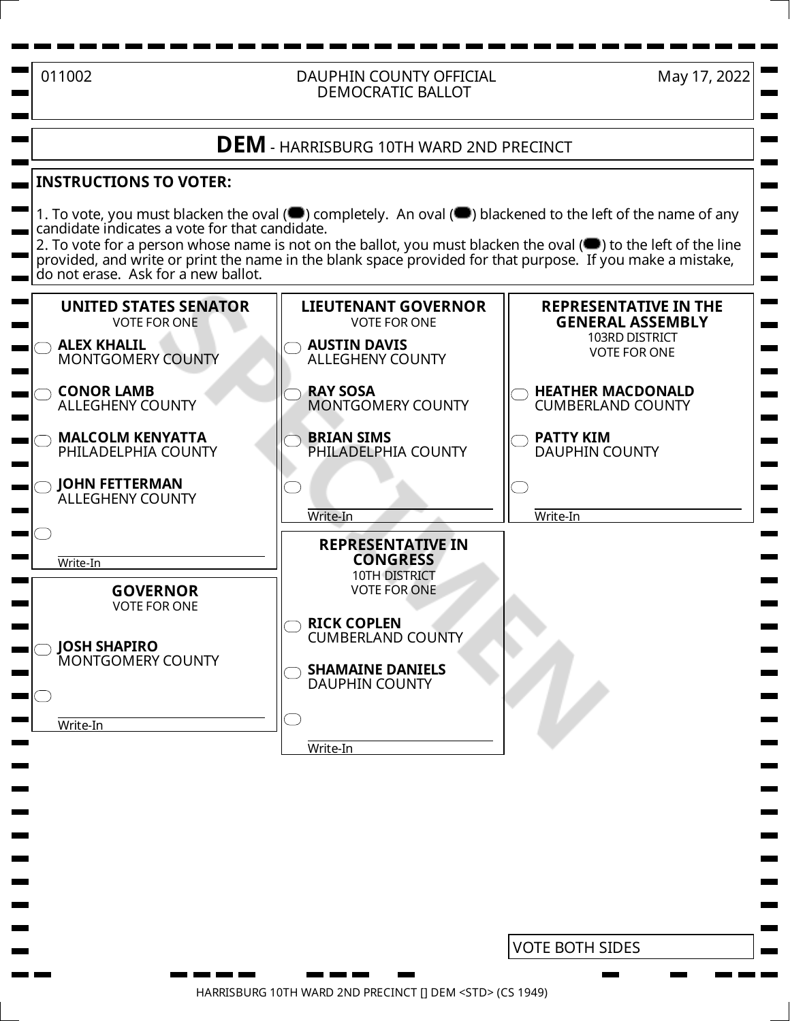## 011002 DAUPHIN COUNTY OFFICIAL DEMOCRATIC BALLOT

## **DEM** - HARRISBURG 10TH WARD 2ND PRECINCT

## **INSTRUCTIONS TO VOTER:**

1. To vote, you must blacken the oval (O) completely. An oval (O) blackened to the left of the name of any candidate indicates a vote for that candidate.

2. To vote for a person whose name is not on the ballot, you must blacken the oval  $($ **)** to the left of the line provided, and write or print the name in the blank space provided for that purpose. If you make a mistake, do not erase. Ask for a new ballot.